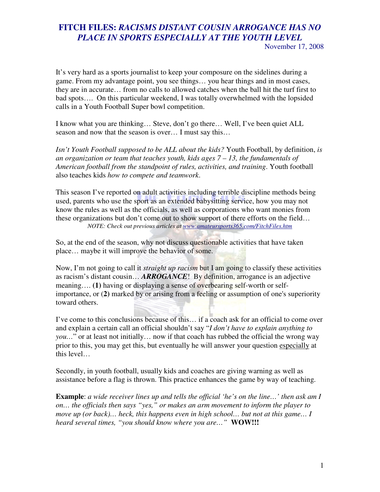## **FITCH FILES:** *RACISMS DISTANT COUSIN ARROGANCE HAS NO PLACE IN SPORTS ESPECIALLY AT THE YOUTH LEVEL*  November 17, 2008

It's very hard as a sports journalist to keep your composure on the sidelines during a game. From my advantage point, you see things… you hear things and in most cases, they are in accurate… from no calls to allowed catches when the ball hit the turf first to bad spots…. On this particular weekend, I was totally overwhelmed with the lopsided calls in a Youth Football Super bowl competition.

I know what you are thinking… Steve, don't go there… Well, I've been quiet ALL season and now that the season is over… I must say this…

*Isn't Youth Football supposed to be ALL about the kids?* Youth Football, by definition, *is an organization or team that teaches youth, kids ages 7 – 13, the fundamentals of American football from the standpoint of rules, activities, and training*. Youth football also teaches kids *how to compete and teamwork*.

This season I've reported on adult activities including terrible discipline methods being used, parents who use the sport as an extended babysitting service, how you may not know the rules as well as the officials, as well as corporations who want monies from these organizations but don't come out to show support of there efforts on the field… *NOTE: Check out previous articles at www.amateursports365.com/FitchFiles.htm*

So, at the end of the season, why not discuss questionable activities that have taken place… maybe it will improve the behavior of some.

Now, I'm not going to call it *straight up racism* but I am going to classify these activities as racism's distant cousin… *ARROGANCE*! By definition, arrogance is an adjective meaning…. **(1)** having or displaying a sense of overbearing self-worth or selfimportance, or (**2)** marked by or arising from a feeling or assumption of one's superiority toward others.

I've come to this conclusions because of this… if a coach ask for an official to come over and explain a certain call an official shouldn't say "*I don't have to explain anything to you…*" or at least not initially… now if that coach has rubbed the official the wrong way prior to this, you may get this, but eventually he will answer your question especially at this level…

Secondly, in youth football, usually kids and coaches are giving warning as well as assistance before a flag is thrown. This practice enhances the game by way of teaching.

**Example**: *a wide receiver lines up and tells the official 'he's on the line…' then ask am I on… the officials then says "yes," or makes an arm movement to inform the player to move up (or back)… heck, this happens even in high school… but not at this game… I heard several times, "you should know where you are…"* **WOW!!!**